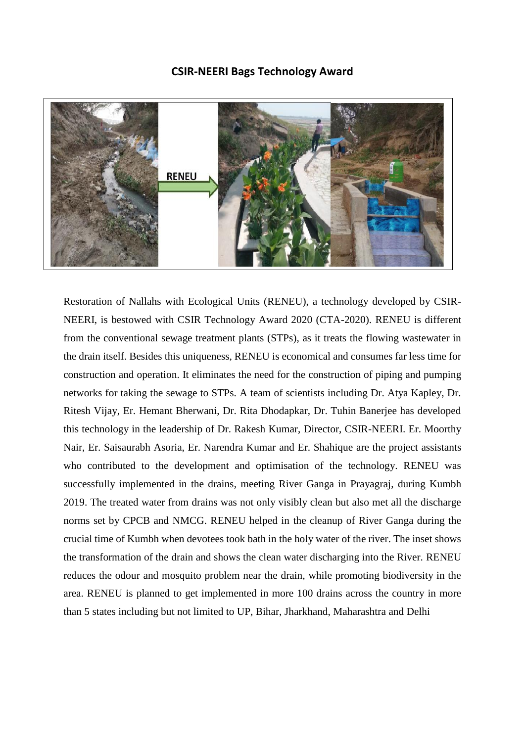## **CSIR-NEERI Bags Technology Award**



Restoration of Nallahs with Ecological Units (RENEU), a technology developed by CSIR-NEERI, is bestowed with CSIR Technology Award 2020 (CTA-2020). RENEU is different from the conventional sewage treatment plants (STPs), as it treats the flowing wastewater in the drain itself. Besides this uniqueness, RENEU is economical and consumes far less time for construction and operation. It eliminates the need for the construction of piping and pumping networks for taking the sewage to STPs. A team of scientists including Dr. Atya Kapley, Dr. Ritesh Vijay, Er. Hemant Bherwani, Dr. Rita Dhodapkar, Dr. Tuhin Banerjee has developed this technology in the leadership of Dr. Rakesh Kumar, Director, CSIR-NEERI. Er. Moorthy Nair, Er. Saisaurabh Asoria, Er. Narendra Kumar and Er. Shahique are the project assistants who contributed to the development and optimisation of the technology. RENEU was successfully implemented in the drains, meeting River Ganga in Prayagraj, during Kumbh 2019. The treated water from drains was not only visibly clean but also met all the discharge norms set by CPCB and NMCG. RENEU helped in the cleanup of River Ganga during the crucial time of Kumbh when devotees took bath in the holy water of the river. The inset shows the transformation of the drain and shows the clean water discharging into the River. RENEU reduces the odour and mosquito problem near the drain, while promoting biodiversity in the area. RENEU is planned to get implemented in more 100 drains across the country in more than 5 states including but not limited to UP, Bihar, Jharkhand, Maharashtra and Delhi